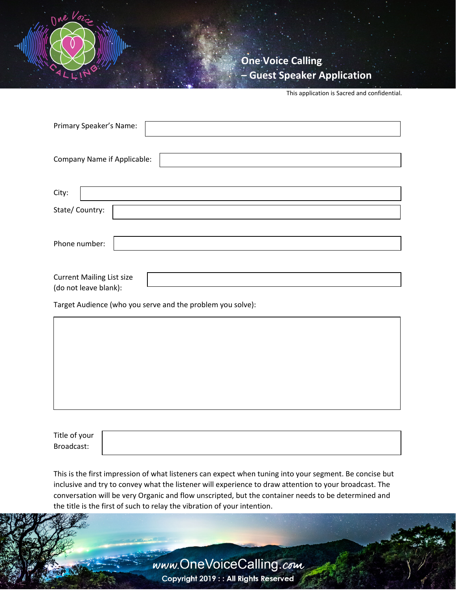

**One Voice Calling – Guest Speaker Application**

This application is Sacred and confidential.

| Primary Speaker's Name:                                    |
|------------------------------------------------------------|
| Company Name if Applicable:                                |
| City:                                                      |
| State/Country:                                             |
| Phone number:                                              |
| <b>Current Mailing List size</b>                           |
| (do not leave blank):                                      |
| Target Audience (who you serve and the problem you solve): |
|                                                            |

Title of your Broadcast:

This is the first impression of what listeners can expect when tuning into your segment. Be concise but inclusive and try to convey what the listener will experience to draw attention to your broadcast. The conversation will be very Organic and flow unscripted, but the container needs to be determined and the title is the first of such to relay the vibration of your intention.

> www.OneVoiceCalling.com Copyright 2019 : : All Rights Reserved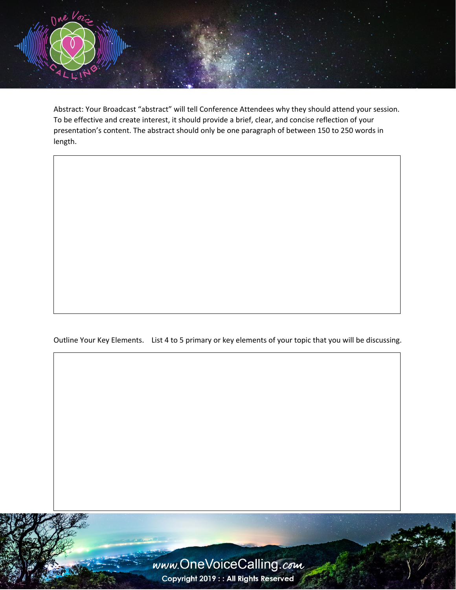

Abstract: Your Broadcast "abstract" will tell Conference Attendees why they should attend your session. To be effective and create interest, it should provide a brief, clear, and concise reflection of your presentation's content. The abstract should only be one paragraph of between 150 to 250 words in length.

Outline Your Key Elements. List 4 to 5 primary or key elements of your topic that you will be discussing.



Copyright 2019 : : All Rights Reserved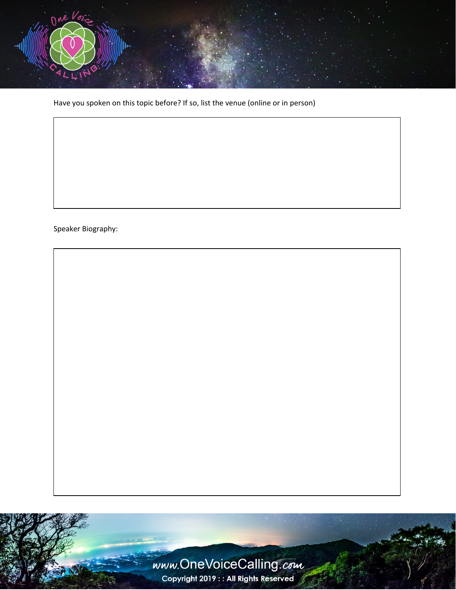

Have you spoken on this topic before? If so, list the venue (online or in person)

Speaker Biography:



Copyright 2019 : : All Rights Reserved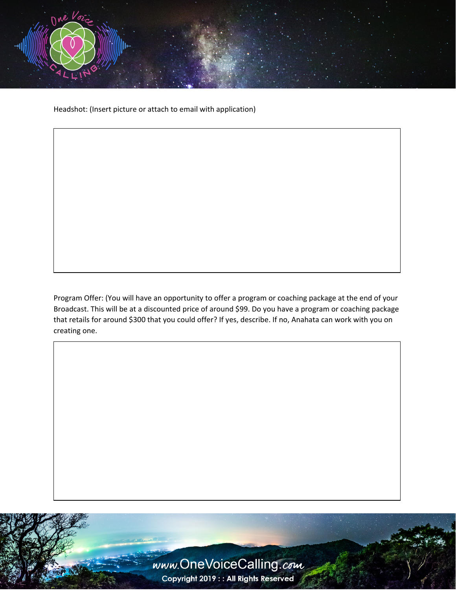

Headshot: (Insert picture or attach to email with application)

Program Offer: (You will have an opportunity to offer a program or coaching package at the end of your Broadcast. This will be at a discounted price of around \$99. Do you have a program or coaching package that retails for around \$300 that you could offer? If yes, describe. If no, Anahata can work with you on creating one.

> www.OneVoiceCalling.com Copyright 2019 : : All Rights Reserved